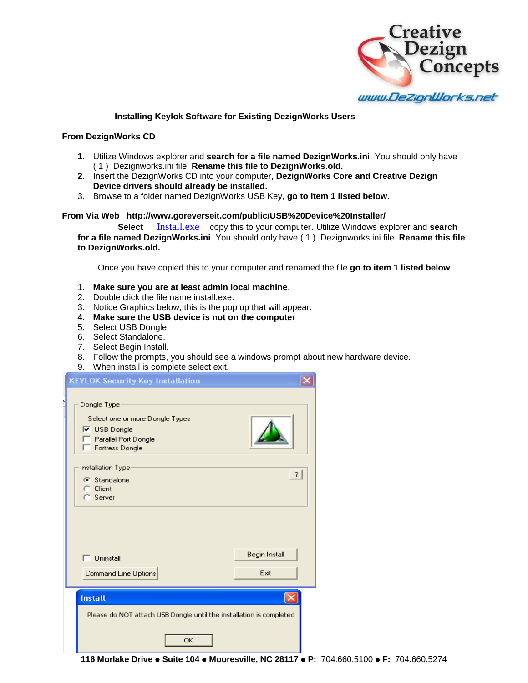

## **Installing Keylok Software for Existing DezignWorks Users**

## **From DezignWorks CD**

- **1.** Utilize Windows explorer and **search for a file named DezignWorks.ini**. You should only have ( 1 ) Dezignworks.ini file. **Rename this file to DezignWorks.old.**
- **2.** Insert the DezignWorks CD into your computer, **DezignWorks Core and Creative Dezign Device drivers should already be installed.**
- 3. Browse to a folder named DezignWorks USB Key, **go to item 1 listed below**.

## **From Via Web http://www.goreverseit.com/public/USB%20Device%20Installer/**

 **Select** [Install.exe](http://www.goreverseit.com/public/USB%20Device%20Installer/Install.exe) copy this to your computer. Utilize Windows explorer and **search for a file named DezignWorks.ini**. You should only have ( 1 ) Dezignworks.ini file. **Rename this file to DezignWorks.old.**

Once you have copied this to your computer and renamed the file **go to item 1 listed below**.

- 1. **Make sure you are at least admin local machine**.
- 2. Double click the file name install.exe.
- 3. Notice Graphics below, this is the pop up that will appear.
- **4. Make sure the USB device is not on the computer**
- 5. Select USB Dongle
- 6. Select Standalone.
- 7. Select Begin Install.
- 8. Follow the prompts, you should see a windows prompt about new hardware device.
- 9. When install is complete select exit.

| <b>KEYLOK Security Key Installation</b>                                                                                            |                       |
|------------------------------------------------------------------------------------------------------------------------------------|-----------------------|
| Dongle Type<br>Select one or more Dongle Types<br>$\overline{\triangledown}$ USB Dongle<br>Parallel Port Dongle<br>Fortress Dongle |                       |
| Installation Type<br>G Standalone<br>$C$ Client<br>C Server                                                                        | $\overline{?}$        |
| Uninstall<br>Command Line Options                                                                                                  | Begin Install<br>Exit |
| <b>Install</b><br>Please do NOT attach USB Dongle until the installation is completed<br>OK                                        |                       |

**116 Morlake Drive Suite 104 Mooresville, NC 28117 P:** 704.660.5100 **F:** 704.660.5274